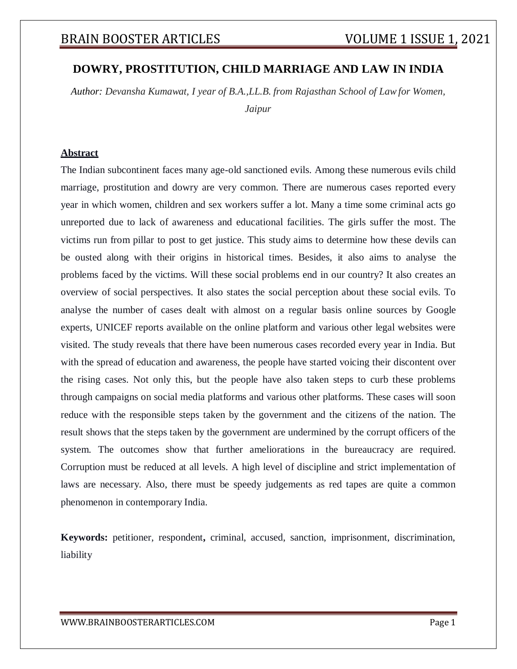### **DOWRY, PROSTITUTION, CHILD MARRIAGE AND LAW IN INDIA**

*Author: Devansha Kumawat, I year of B.A.,LL.B. from Rajasthan School of Lawfor Women, Jaipur*

### **Abstract**

The Indian subcontinent faces many age-old sanctioned evils. Among these numerous evils child marriage, prostitution and dowry are very common. There are numerous cases reported every year in which women, children and sex workers suffer a lot. Many a time some criminal acts go unreported due to lack of awareness and educational facilities. The girls suffer the most. The victims run from pillar to post to get justice. This study aims to determine how these devils can be ousted along with their origins in historical times. Besides, it also aims to analyse the problems faced by the victims. Will these social problems end in our country? It also creates an overview of social perspectives. It also states the social perception about these social evils. To analyse the number of cases dealt with almost on a regular basis online sources by Google experts, UNICEF reports available on the online platform and various other legal websites were visited. The study reveals that there have been numerous cases recorded every year in India. But with the spread of education and awareness, the people have started voicing their discontent over the rising cases. Not only this, but the people have also taken steps to curb these problems through campaigns on social media platforms and various other platforms. These cases will soon reduce with the responsible steps taken by the government and the citizens of the nation. The result shows that the steps taken by the government are undermined by the corrupt officers of the system. The outcomes show that further ameliorations in the bureaucracy are required. Corruption must be reduced at all levels. A high level of discipline and strict implementation of laws are necessary. Also, there must be speedy judgements as red tapes are quite a common phenomenon in contemporary India.

**Keywords:** petitioner, respondent**,** criminal, accused, sanction, imprisonment, discrimination, liability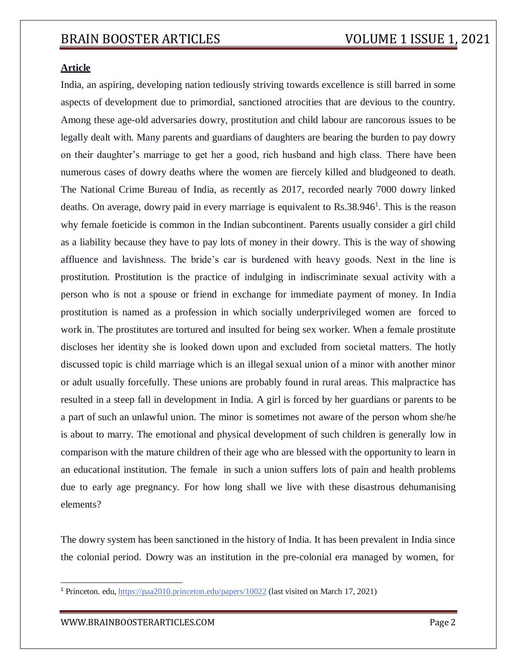### **Article**

India, an aspiring, developing nation tediously striving towards excellence is still barred in some aspects of development due to primordial, sanctioned atrocities that are devious to the country. Among these age-old adversaries dowry, prostitution and child labour are rancorous issues to be legally dealt with. Many parents and guardians of daughters are bearing the burden to pay dowry on their daughter's marriage to get her a good, rich husband and high class. There have been numerous cases of dowry deaths where the women are fiercely killed and bludgeoned to death. The National Crime Bureau of India, as recently as 2017, recorded nearly 7000 dowry linked deaths. On average, dowry paid in every marriage is equivalent to  $\text{Rs.}38.946^1$ . This is the reason why female foeticide is common in the Indian subcontinent. Parents usually consider a girl child as a liability because they have to pay lots of money in their dowry. This is the way of showing affluence and lavishness. The bride's car is burdened with heavy goods. Next in the line is prostitution. Prostitution is the practice of indulging in indiscriminate sexual activity with a person who is not a spouse or friend in exchange for immediate payment of money. In India prostitution is named as a profession in which socially underprivileged women are forced to work in. The prostitutes are tortured and insulted for being sex worker. When a female prostitute discloses her identity she is looked down upon and excluded from societal matters. The hotly discussed topic is child marriage which is an illegal sexual union of a minor with another minor or adult usually forcefully. These unions are probably found in rural areas. This malpractice has resulted in a steep fall in development in India. A girl is forced by her guardians or parents to be a part of such an unlawful union. The minor is sometimes not aware of the person whom she/he is about to marry. The emotional and physical development of such children is generally low in comparison with the mature children of their age who are blessed with the opportunity to learn in an educational institution. The female in such a union suffers lots of pain and health problems due to early age pregnancy. For how long shall we live with these disastrous dehumanising elements?

The dowry system has been sanctioned in the history of India. It has been prevalent in India since the colonial period. Dowry was an institution in the pre-colonial era managed by women, for

<sup>1</sup> Princeton. edu, https://paa2010.princeton.edu/papers/10022 (last visited on March 17, 2021)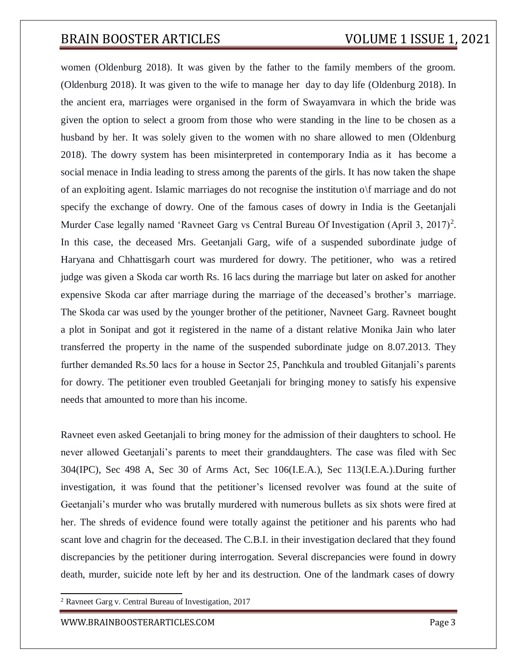women (Oldenburg 2018). It was given by the father to the family members of the groom. (Oldenburg 2018). It was given to the wife to manage her day to day life (Oldenburg 2018). In the ancient era, marriages were organised in the form of Swayamvara in which the bride was given the option to select a groom from those who were standing in the line to be chosen as a husband by her. It was solely given to the women with no share allowed to men (Oldenburg 2018). The dowry system has been misinterpreted in contemporary India as it has become a social menace in India leading to stress among the parents of the girls. It has now taken the shape of an exploiting agent. Islamic marriages do not recognise the institution o\f marriage and do not specify the exchange of dowry. One of the famous cases of dowry in India is the Geetanjali Murder Case legally named 'Ravneet Garg vs Central Bureau Of Investigation (April 3, 2017)<sup>2</sup>. In this case, the deceased Mrs. Geetanjali Garg, wife of a suspended subordinate judge of Haryana and Chhattisgarh court was murdered for dowry. The petitioner, who was a retired judge was given a Skoda car worth Rs. 16 lacs during the marriage but later on asked for another expensive Skoda car after marriage during the marriage of the deceased's brother's marriage. The Skoda car was used by the younger brother of the petitioner, Navneet Garg. Ravneet bought a plot in Sonipat and got it registered in the name of a distant relative Monika Jain who later transferred the property in the name of the suspended subordinate judge on 8.07.2013. They further demanded Rs.50 lacs for a house in Sector 25, Panchkula and troubled Gitanjali's parents for dowry. The petitioner even troubled Geetanjali for bringing money to satisfy his expensive needs that amounted to more than his income.

Ravneet even asked Geetanjali to bring money for the admission of their daughters to school. He never allowed Geetanjali's parents to meet their granddaughters. The case was filed with Sec 304(IPC), Sec 498 A, Sec 30 of Arms Act, Sec 106(I.E.A.), Sec 113(I.E.A.).During further investigation, it was found that the petitioner's licensed revolver was found at the suite of Geetanjali's murder who was brutally murdered with numerous bullets as six shots were fired at her. The shreds of evidence found were totally against the petitioner and his parents who had scant love and chagrin for the deceased. The C.B.I. in their investigation declared that they found discrepancies by the petitioner during interrogation. Several discrepancies were found in dowry death, murder, suicide note left by her and its destruction. One of the landmark cases of dowry

<sup>2</sup> Ravneet Garg v. Central Bureau of Investigation, 2017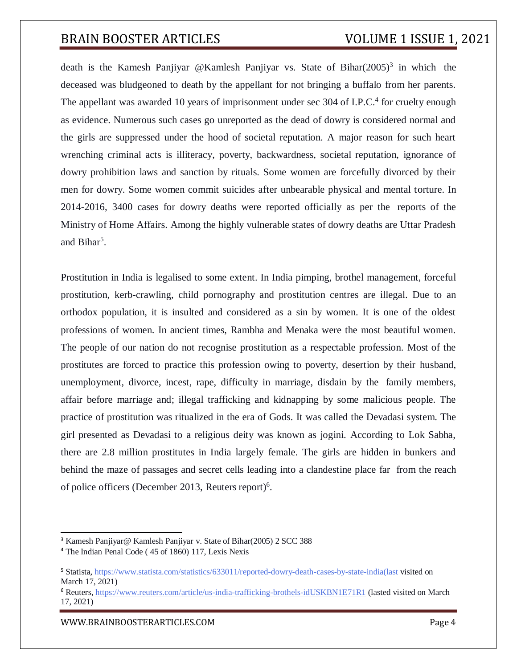death is the Kamesh Panjiyar @Kamlesh Panjiyar vs. State of Bihar $(2005)^3$  in which the deceased was bludgeoned to death by the appellant for not bringing a buffalo from her parents. The appellant was awarded 10 years of imprisonment under sec 304 of I.P.C.<sup>4</sup> for cruelty enough as evidence. Numerous such cases go unreported as the dead of dowry is considered normal and the girls are suppressed under the hood of societal reputation. A major reason for such heart wrenching criminal acts is illiteracy, poverty, backwardness, societal reputation, ignorance of dowry prohibition laws and sanction by rituals. Some women are forcefully divorced by their men for dowry. Some women commit suicides after unbearable physical and mental torture. In 2014-2016, 3400 cases for dowry deaths were reported officially as per the reports of the Ministry of Home Affairs. Among the highly vulnerable states of dowry deaths are Uttar Pradesh and Bihar<sup>5</sup>.

Prostitution in India is legalised to some extent. In India pimping, brothel management, forceful prostitution, kerb-crawling, child pornography and prostitution centres are illegal. Due to an orthodox population, it is insulted and considered as a sin by women. It is one of the oldest professions of women. In ancient times, Rambha and Menaka were the most beautiful women. The people of our nation do not recognise prostitution as a respectable profession. Most of the prostitutes are forced to practice this profession owing to poverty, desertion by their husband, unemployment, divorce, incest, rape, difficulty in marriage, disdain by the family members, affair before marriage and; illegal trafficking and kidnapping by some malicious people. The practice of prostitution was ritualized in the era of Gods. It was called the Devadasi system. The girl presented as Devadasi to a religious deity was known as jogini. According to Lok Sabha, there are 2.8 million prostitutes in India largely female. The girls are hidden in bunkers and behind the maze of passages and secret cells leading into a clandestine place far from the reach of police officers (December 2013, Reuters report)<sup>6</sup>.

[WWW.BRAINBOOSTERARTICLES.COM](http://www.brainboosterarticles.com/) enterprise and the state of the page 4

<sup>3</sup> Kamesh Panjiyar@ Kamlesh Panjiyar v. State of Bihar(2005) 2 SCC 388

<sup>4</sup> The Indian Penal Code ( 45 of 1860) 117, Lexis Nexis

<sup>5</sup> Statista, https:/[/www.statista.com/statistics/633011/reported-dowry-death-cases-by-state-india\(last](http://www.statista.com/statistics/633011/reported-dowry-death-cases-by-state-india(last) visited on March 17, 2021)

<sup>6</sup> Reuters, https:/[/www.reuters.com/article/us-india-trafficking-brothels-idUSKBN1E71R1](http://www.reuters.com/article/us-india-trafficking-brothels-idUSKBN1E71R1) (lasted visited on March 17, 2021)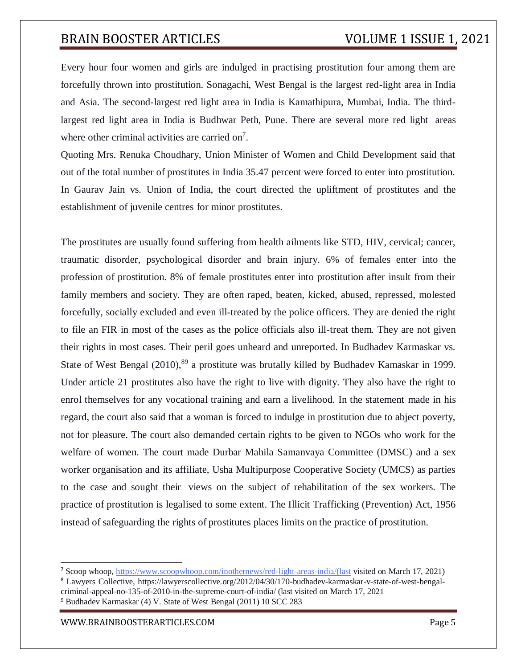Every hour four women and girls are indulged in practising prostitution four among them are forcefully thrown into prostitution. Sonagachi, West Bengal is the largest red-light area in India and Asia. The second-largest red light area in India is Kamathipura, Mumbai, India. The thirdlargest red light area in India is Budhwar Peth, Pune. There are several more red light areas where other criminal activities are carried on<sup>7</sup>.

Quoting Mrs. Renuka Choudhary, Union Minister of Women and Child Development said that out of the total number of prostitutes in India 35.47 percent were forced to enter into prostitution. In Gaurav Jain vs. Union of India, the court directed the upliftment of prostitutes and the establishment of juvenile centres for minor prostitutes.

The prostitutes are usually found suffering from health ailments like STD, HIV, cervical; cancer, traumatic disorder, psychological disorder and brain injury. 6% of females enter into the profession of prostitution. 8% of female prostitutes enter into prostitution after insult from their family members and society. They are often raped, beaten, kicked, abused, repressed, molested forcefully, socially excluded and even ill-treated by the police officers. They are denied the right to file an FIR in most of the cases as the police officials also ill-treat them. They are not given their rights in most cases. Their peril goes unheard and unreported. In Budhadev Karmaskar vs. State of West Bengal (2010),<sup>89</sup> a prostitute was brutally killed by Budhadev Kamaskar in 1999. Under article 21 prostitutes also have the right to live with dignity. They also have the right to enrol themselves for any vocational training and earn a livelihood. In the statement made in his regard, the court also said that a woman is forced to indulge in prostitution due to abject poverty, not for pleasure. The court also demanded certain rights to be given to NGOs who work for the welfare of women. The court made Durbar Mahila Samanvaya Committee (DMSC) and a sex worker organisation and its affiliate, Usha Multipurpose Cooperative Society (UMCS) as parties to the case and sought their views on the subject of rehabilitation of the sex workers. The practice of prostitution is legalised to some extent. The Illicit Trafficking (Prevention) Act, 1956 instead of safeguarding the rights of prostitutes places limits on the practice of prostitution.

<sup>7</sup> Scoop whoop, https:/[/www.scoopwhoop.com/inothernews/red-light-areas-india/\(last](http://www.scoopwhoop.com/inothernews/red-light-areas-india/(last) visited on March 17, 2021)

<sup>8</sup> Lawyers Collective, https://lawyerscollective.org/2012/04/30/170-budhadev-karmaskar-v-state-of-west-bengalcriminal-appeal-no-135-of-2010-in-the-supreme-court-of-india/ (last visited on March 17, 2021 <sup>9</sup> Budhadev Karmaskar (4) V. State of West Bengal (2011) 10 SCC 283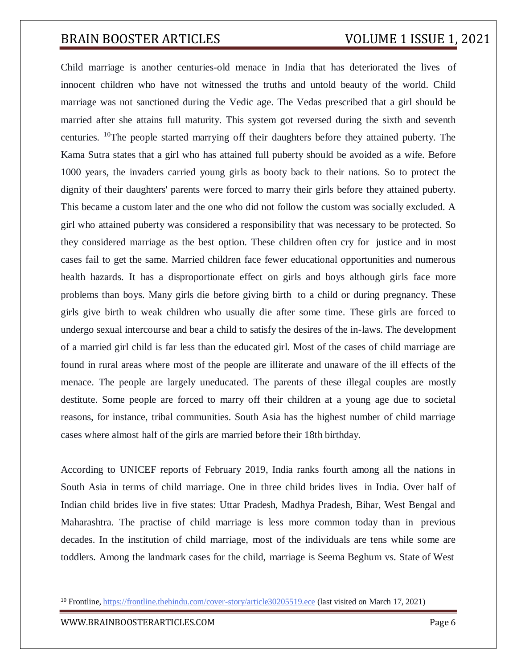Child marriage is another centuries-old menace in India that has deteriorated the lives of innocent children who have not witnessed the truths and untold beauty of the world. Child marriage was not sanctioned during the Vedic age. The Vedas prescribed that a girl should be married after she attains full maturity. This system got reversed during the sixth and seventh centuries. <sup>10</sup>The people started marrying off their daughters before they attained puberty. The Kama Sutra states that a girl who has attained full puberty should be avoided as a wife. Before 1000 years, the invaders carried young girls as booty back to their nations. So to protect the dignity of their daughters' parents were forced to marry their girls before they attained puberty. This became a custom later and the one who did not follow the custom was socially excluded. A girl who attained puberty was considered a responsibility that was necessary to be protected. So they considered marriage as the best option. These children often cry for justice and in most cases fail to get the same. Married children face fewer educational opportunities and numerous health hazards. It has a disproportionate effect on girls and boys although girls face more problems than boys. Many girls die before giving birth to a child or during pregnancy. These girls give birth to weak children who usually die after some time. These girls are forced to undergo sexual intercourse and bear a child to satisfy the desires of the in-laws. The development of a married girl child is far less than the educated girl. Most of the cases of child marriage are found in rural areas where most of the people are illiterate and unaware of the ill effects of the menace. The people are largely uneducated. The parents of these illegal couples are mostly destitute. Some people are forced to marry off their children at a young age due to societal reasons, for instance, tribal communities. South Asia has the highest number of child marriage cases where almost half of the girls are married before their 18th birthday.

According to UNICEF reports of February 2019, India ranks fourth among all the nations in South Asia in terms of child marriage. One in three child brides lives in India. Over half of Indian child brides live in five states: Uttar Pradesh, Madhya Pradesh, Bihar, West Bengal and Maharashtra. The practise of child marriage is less more common today than in previous decades. In the institution of child marriage, most of the individuals are tens while some are toddlers. Among the landmark cases for the child, marriage is Seema Beghum vs. State of West

<sup>&</sup>lt;sup>10</sup> Frontline, https://frontline.thehindu.com/cover-story/article30205519.ece (last visited on March 17, 2021)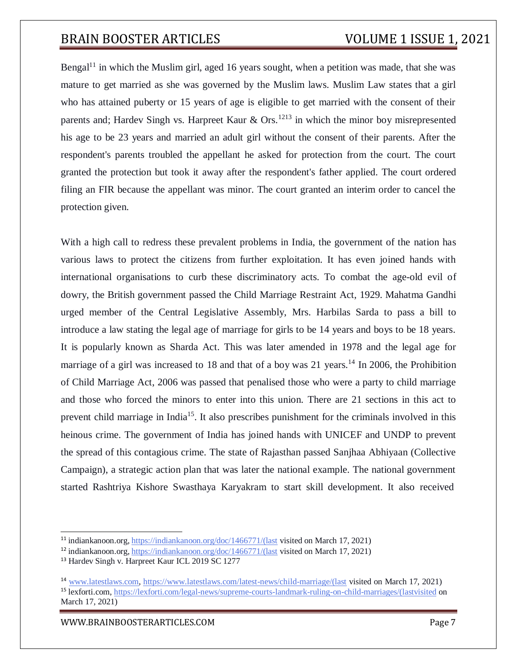Bengal<sup>11</sup> in which the Muslim girl, aged 16 years sought, when a petition was made, that she was mature to get married as she was governed by the Muslim laws. Muslim Law states that a girl who has attained puberty or 15 years of age is eligible to get married with the consent of their parents and; Hardev Singh vs. Harpreet Kaur  $\&$  Ors.<sup>1213</sup> in which the minor boy misrepresented his age to be 23 years and married an adult girl without the consent of their parents. After the respondent's parents troubled the appellant he asked for protection from the court. The court granted the protection but took it away after the respondent's father applied. The court ordered filing an FIR because the appellant was minor. The court granted an interim order to cancel the protection given.

With a high call to redress these prevalent problems in India, the government of the nation has various laws to protect the citizens from further exploitation. It has even joined hands with international organisations to curb these discriminatory acts. To combat the age-old evil of dowry, the British government passed the Child Marriage Restraint Act, 1929. Mahatma Gandhi urged member of the Central Legislative Assembly, Mrs. Harbilas Sarda to pass a bill to introduce a law stating the legal age of marriage for girls to be 14 years and boys to be 18 years. It is popularly known as Sharda Act. This was later amended in 1978 and the legal age for marriage of a girl was increased to 18 and that of a boy was 21 years.<sup>14</sup> In 2006, the Prohibition of Child Marriage Act, 2006 was passed that penalised those who were a party to child marriage and those who forced the minors to enter into this union. There are 21 sections in this act to prevent child marriage in India<sup>15</sup>. It also prescribes punishment for the criminals involved in this heinous crime. The government of India has joined hands with UNICEF and UNDP to prevent the spread of this contagious crime. The state of Rajasthan passed Sanjhaa Abhiyaan (Collective Campaign), a strategic action plan that was later the national example. The national government started Rashtriya Kishore Swasthaya Karyakram to start skill development. It also received

[WWW.BRAINBOOSTERARTICLES.COM](http://www.brainboosterarticles.com/) enterprise and the control of the page 7

<sup>11</sup> indiankanoon.org, https://indiankanoon.org/doc/1466771/(last visited on March 17, 2021)

<sup>12</sup> indiankanoon.org, [https://indiankanoon.org/doc/1466771/\(last](https://indiankanoon.org/doc/1466771/(last) visited on March 17, 2021)

<sup>13</sup> Hardev Singh v. Harpreet Kaur ICL 2019 SC 1277

<sup>14</sup> [www.latestlaws.com,](http://www.latestlaws.com/) [https://www.latestlaws.com/latest-news/child-marriage/\(last](http://www.latestlaws.com/) visited on March 17, 2021) <sup>15</sup> lexforti.com, https://lexforti.com/legal-news/supreme-courts-landmark-ruling-on-child-marriages/(lastvisited on March 17, 2021)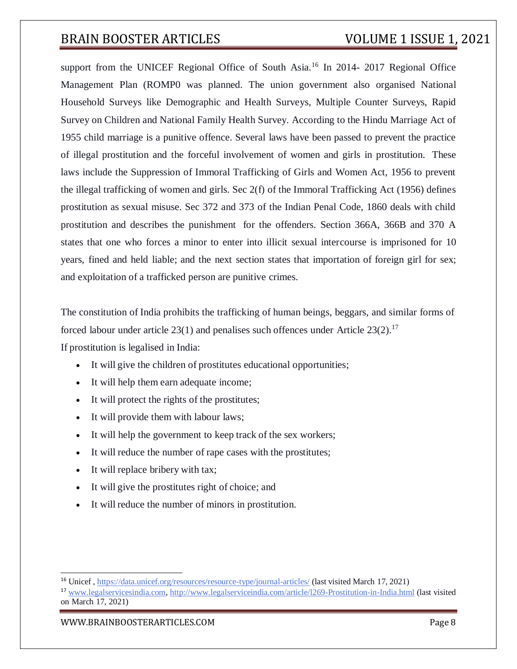support from the UNICEF Regional Office of South Asia.<sup>16</sup> In 2014- 2017 Regional Office Management Plan (ROMP0 was planned. The union government also organised National Household Surveys like Demographic and Health Surveys, Multiple Counter Surveys, Rapid Survey on Children and National Family Health Survey. According to the Hindu Marriage Act of 1955 child marriage is a punitive offence. Several laws have been passed to prevent the practice of illegal prostitution and the forceful involvement of women and girls in prostitution. These laws include the Suppression of Immoral Trafficking of Girls and Women Act, 1956 to prevent the illegal trafficking of women and girls. Sec 2(f) of the Immoral Trafficking Act (1956) defines prostitution as sexual misuse. Sec 372 and 373 of the Indian Penal Code, 1860 deals with child prostitution and describes the punishment for the offenders. Section 366A, 366B and 370 A states that one who forces a minor to enter into illicit sexual intercourse is imprisoned for 10 years, fined and held liable; and the next section states that importation of foreign girl for sex; and exploitation of a trafficked person are punitive crimes.

The constitution of India prohibits the trafficking of human beings, beggars, and similar forms of forced labour under article  $23(1)$  and penalises such offences under Article  $23(2)$ .<sup>17</sup>

If prostitution is legalised in India:

- It will give the children of prostitutes educational opportunities;
- It will help them earn adequate income;
- It will protect the rights of the prostitutes;
- It will provide them with labour laws;
- It will help the government to keep track of the sex workers;
- It will reduce the number of rape cases with the prostitutes;
- It will replace bribery with tax;
- It will give the prostitutes right of choice; and
- It will reduce the number of minors in prostitution.

[WWW.BRAINBOOSTERARTICLES.COM](http://www.brainboosterarticles.com/) enterprise and the control of the control of the control of the control of the control of the control of the control of the control of the control of the control of the control of the control o

<sup>&</sup>lt;sup>16</sup> Unicef, <https://data.unicef.org/resources/resource-type/journal-articles/> (last visited March 17, 2021)

<sup>17</sup> [www.legalservicesindia.com, http://www.legalserviceindia.com/article/l269-Prostitution-in-India.html](http://www.legalservicesindia.com/) (last visited on March 17, 2021)